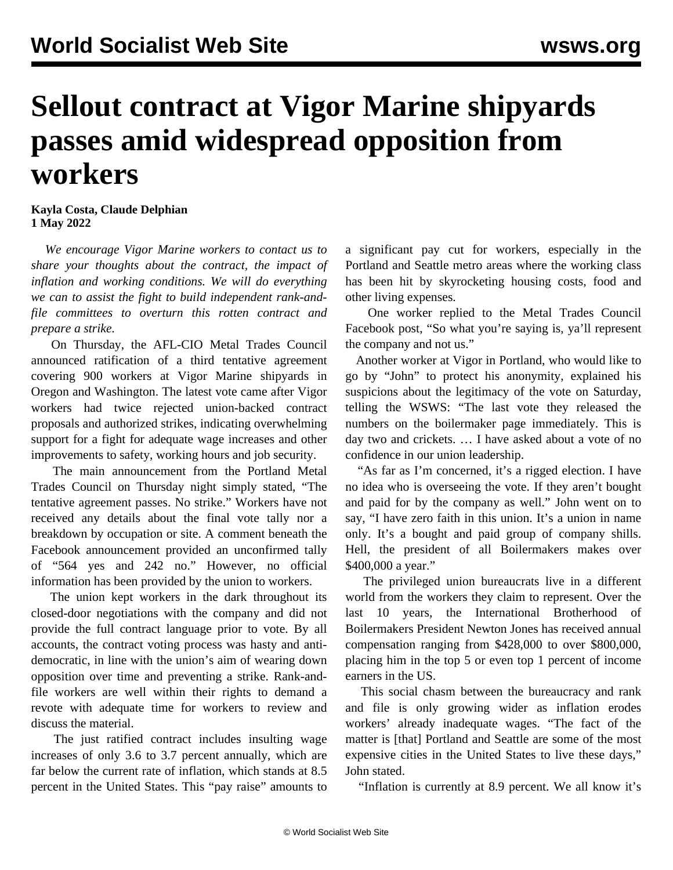## **Sellout contract at Vigor Marine shipyards passes amid widespread opposition from workers**

**Kayla Costa, Claude Delphian 1 May 2022**

 *We encourage Vigor Marine workers to [contact us](/contact) to share your thoughts about the contract, the impact of inflation and working conditions. We will do everything we can to assist the fight to build independent rank-andfile committees to overturn this rotten contract and prepare a strike.* 

 On Thursday, the AFL-CIO Metal Trades Council announced ratification of a third tentative agreement covering 900 workers at Vigor Marine shipyards in Oregon and Washington. The latest vote came after Vigor workers had twice rejected union-backed contract proposals and authorized strikes, indicating overwhelming support for a fight for adequate wage increases and other improvements to safety, working hours and job security.

 The main announcement from the Portland Metal Trades Council on Thursday night simply stated, "The tentative agreement passes. No strike." Workers have not received any details about the final vote tally nor a breakdown by occupation or site. A comment beneath the Facebook announcement provided an unconfirmed tally of "564 yes and 242 no." However, no official information has been provided by the union to workers.

 The union kept workers in the dark throughout its closed-door negotiations with the company and did not provide the full contract language prior to vote. By all accounts, the contract voting process was hasty and antidemocratic, in line with the union's aim of wearing down opposition over time and preventing a strike. Rank-andfile workers are well within their rights to demand a revote with adequate time for workers to review and discuss the material.

 The just ratified contract includes insulting wage increases of only 3.6 to 3.7 percent annually, which are far below the current rate of inflation, which stands at 8.5 percent in the United States. This "pay raise" amounts to a significant pay cut for workers, especially in the Portland and Seattle metro areas where the working class has been hit by skyrocketing housing costs, food and other living expenses.

 One worker replied to the Metal Trades Council Facebook post, "So what you're saying is, ya'll represent the company and not us."

 Another worker at Vigor in Portland, who would like to go by "John" to protect his anonymity, explained his suspicions about the legitimacy of the vote on Saturday, telling the WSWS: "The last vote they released the numbers on the boilermaker page immediately. This is day two and crickets. … I have asked about a vote of no confidence in our union leadership.

 "As far as I'm concerned, it's a rigged election. I have no idea who is overseeing the vote. If they aren't bought and paid for by the company as well." John went on to say, "I have zero faith in this union. It's a union in name only. It's a bought and paid group of company shills. Hell, the president of all Boilermakers makes over \$400,000 a year."

 The privileged union bureaucrats live in a different world from the workers they claim to represent. Over the last 10 years, the International Brotherhood of Boilermakers President Newton Jones has received annual compensation ranging from \$428,000 to over \$800,000, placing him in the top 5 or even top 1 percent of income earners in the US.

 This social chasm between the bureaucracy and rank and file is only growing wider as inflation erodes workers' already inadequate wages. "The fact of the matter is [that] Portland and Seattle are some of the most expensive cities in the United States to live these days," John stated.

"Inflation is currently at 8.9 percent. We all know it's